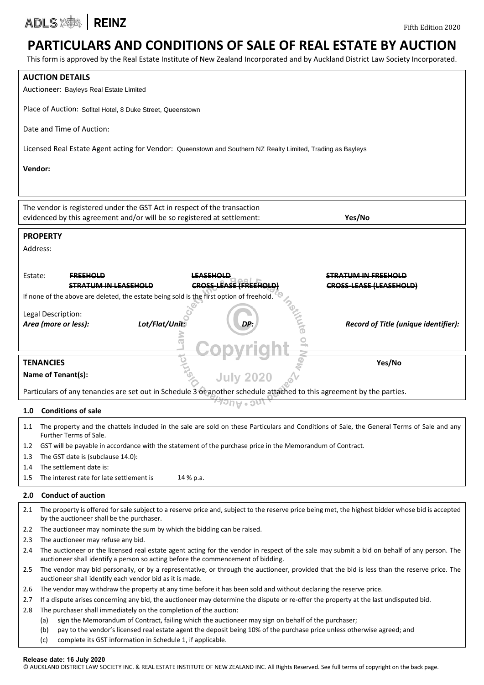ADLS **ADLS** 

### **PARTICULARS AND CONDITIONS OF SALE OF REAL ESTATE BY AUCTION**

This form is approved by the Real Estate Institute of New Zealand Incorporated and by Auckland District Law Society Incorporated.

| <b>AUCTION DETAILS</b><br>Auctioneer: Bayleys Real Estate Limited                                                                                                                                                                                                                                  |  |  |  |  |  |  |
|----------------------------------------------------------------------------------------------------------------------------------------------------------------------------------------------------------------------------------------------------------------------------------------------------|--|--|--|--|--|--|
| Place of Auction: Sofitel Hotel, 8 Duke Street, Queenstown                                                                                                                                                                                                                                         |  |  |  |  |  |  |
| Date and Time of Auction:                                                                                                                                                                                                                                                                          |  |  |  |  |  |  |
| Licensed Real Estate Agent acting for Vendor: Queenstown and Southern NZ Realty Limited, Trading as Bayleys                                                                                                                                                                                        |  |  |  |  |  |  |
| Vendor:                                                                                                                                                                                                                                                                                            |  |  |  |  |  |  |
|                                                                                                                                                                                                                                                                                                    |  |  |  |  |  |  |
| The vendor is registered under the GST Act in respect of the transaction<br>Yes/No<br>evidenced by this agreement and/or will be so registered at settlement:                                                                                                                                      |  |  |  |  |  |  |
| <b>PROPERTY</b>                                                                                                                                                                                                                                                                                    |  |  |  |  |  |  |
| Address:                                                                                                                                                                                                                                                                                           |  |  |  |  |  |  |
| Estate:<br><del>LEASEHOLD</del><br><b>STRATUM IN FREEHOLD</b><br><b>FREEHOLD</b><br><b>CROSS-LEASE (FREEHOLD)</b><br><b>CROSS-LEASE (LEASEHOLD)</b><br><b>STRATUM IN LEASEHOLD</b>                                                                                                                 |  |  |  |  |  |  |
| If none of the above are deleted, the estate being sold is the first option of freehold.                                                                                                                                                                                                           |  |  |  |  |  |  |
|                                                                                                                                                                                                                                                                                                    |  |  |  |  |  |  |
| Legal Description:<br>Lot/Flat/Unit:<br>DP.<br>Area (more or less):<br>Record of Title (unique identifier):                                                                                                                                                                                        |  |  |  |  |  |  |
|                                                                                                                                                                                                                                                                                                    |  |  |  |  |  |  |
|                                                                                                                                                                                                                                                                                                    |  |  |  |  |  |  |
|                                                                                                                                                                                                                                                                                                    |  |  |  |  |  |  |
|                                                                                                                                                                                                                                                                                                    |  |  |  |  |  |  |
| <b>TENANCIES</b><br>Yes/No<br>Name of Tenant(s):<br><b>July 2020</b>                                                                                                                                                                                                                               |  |  |  |  |  |  |
| Particulars of any tenancies are set out in Schedule 3 or another schedule attached to this agreement by the parties.                                                                                                                                                                              |  |  |  |  |  |  |
| <b>Conditions of sale</b><br>1.0                                                                                                                                                                                                                                                                   |  |  |  |  |  |  |
| The property and the chattels included in the sale are sold on these Particulars and Conditions of Sale, the General Terms of Sale and any<br>Further Terms of Sale.                                                                                                                               |  |  |  |  |  |  |
| GST will be payable in accordance with the statement of the purchase price in the Memorandum of Contract.<br>1.2                                                                                                                                                                                   |  |  |  |  |  |  |
| The GST date is (subclause 14.0):<br>1.3                                                                                                                                                                                                                                                           |  |  |  |  |  |  |
| The settlement date is:<br>1.4                                                                                                                                                                                                                                                                     |  |  |  |  |  |  |
| The interest rate for late settlement is<br>14 % p.a.<br>1.5                                                                                                                                                                                                                                       |  |  |  |  |  |  |
| <b>Conduct of auction</b><br>2.0                                                                                                                                                                                                                                                                   |  |  |  |  |  |  |
| The property is offered for sale subject to a reserve price and, subject to the reserve price being met, the highest bidder whose bid is accepted<br>2.1<br>by the auctioneer shall be the purchaser.                                                                                              |  |  |  |  |  |  |
| The auctioneer may nominate the sum by which the bidding can be raised.<br>2.2                                                                                                                                                                                                                     |  |  |  |  |  |  |
| The auctioneer may refuse any bid.<br>2.3                                                                                                                                                                                                                                                          |  |  |  |  |  |  |
| The auctioneer or the licensed real estate agent acting for the vendor in respect of the sale may submit a bid on behalf of any person. The<br>2.4                                                                                                                                                 |  |  |  |  |  |  |
| auctioneer shall identify a person so acting before the commencement of bidding.<br>The vendor may bid personally, or by a representative, or through the auctioneer, provided that the bid is less than the reserve price. The<br>2.5<br>auctioneer shall identify each vendor bid as it is made. |  |  |  |  |  |  |
| The vendor may withdraw the property at any time before it has been sold and without declaring the reserve price.<br>2.6                                                                                                                                                                           |  |  |  |  |  |  |
| If a dispute arises concerning any bid, the auctioneer may determine the dispute or re-offer the property at the last undisputed bid.<br>2.7                                                                                                                                                       |  |  |  |  |  |  |
| The purchaser shall immediately on the completion of the auction:<br>2.8                                                                                                                                                                                                                           |  |  |  |  |  |  |
| sign the Memorandum of Contract, failing which the auctioneer may sign on behalf of the purchaser;<br>(a)<br>pay to the vendor's licensed real estate agent the deposit being 10% of the purchase price unless otherwise agreed; and<br>(b)                                                        |  |  |  |  |  |  |

### **Release date: 16 July 2020**

© AUCKLAND DISTRICT LAW SOCIETY INC. & REAL ESTATE INSTITUTE OF NEW ZEALAND INC. All Rights Reserved. See full terms of copyright on the back page.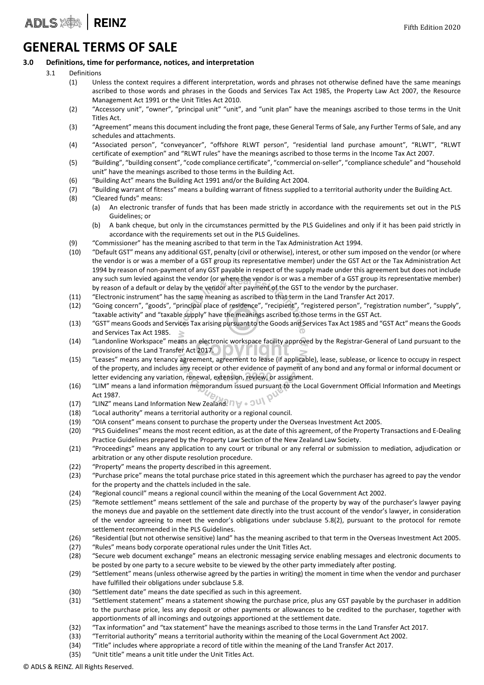### **GENERAL TERMS OF SALE**

### **3.0 Definitions, time for performance, notices, and interpretation**

- 3.1 Definitions
	- (1) Unless the context requires a different interpretation, words and phrases not otherwise defined have the same meanings ascribed to those words and phrases in the Goods and Services Tax Act 1985, the Property Law Act 2007, the Resource Management Act 1991 or the Unit Titles Act 2010.
	- (2) "Accessory unit", "owner", "principal unit" "unit", and "unit plan" have the meanings ascribed to those terms in the Unit Titles Act.
	- (3) "Agreement" means this document including the front page, these General Terms of Sale, any Further Terms of Sale, and any schedules and attachments.
	- (4) "Associated person", "conveyancer", "offshore RLWT person", "residential land purchase amount", "RLWT", "RLWT certificate of exemption" and "RLWT rules" have the meanings ascribed to those terms in the Income Tax Act 2007.
	- (5) "Building", "building consent", "code compliance certificate", "commercial on-seller", "compliance schedule" and "household unit" have the meanings ascribed to those terms in the Building Act.
	- (6) "Building Act" means the Building Act 1991 and/or the Building Act 2004.
	- (7) "Building warrant of fitness" means a building warrant of fitness supplied to a territorial authority under the Building Act.
	- (8) "Cleared funds" means:
		- (a) An electronic transfer of funds that has been made strictly in accordance with the requirements set out in the PLS Guidelines; or
		- (b) A bank cheque, but only in the circumstances permitted by the PLS Guidelines and only if it has been paid strictly in accordance with the requirements set out in the PLS Guidelines.
	- (9) "Commissioner" has the meaning ascribed to that term in the Tax Administration Act 1994.
	- (10) "Default GST" means any additional GST, penalty (civil or otherwise), interest, or other sum imposed on the vendor (or where the vendor is or was a member of a GST group its representative member) under the GST Act or the Tax Administration Act 1994 by reason of non-payment of any GST payable in respect of the supply made under this agreement but does not include any such sum levied against the vendor (or where the vendor is or was a member of a GST group its representative member) by reason of a default or delay by the vendor after payment of the GST to the vendor by the purchaser.
	- (11) "Electronic instrument" has the same meaning as ascribed to that term in the Land Transfer Act 2017.
	- (12) "Going concern", "goods", "principal place of residence", "recipient", "registered person", "registration number", "supply", "taxable activity" and "taxable supply" have the meanings ascribed to those terms in the GST Act.
	- (13) "GST" means Goods and Services Tax arising pursuant to the Goods and Services Tax Act 1985 and "GST Act" means the Goods and Services Tax Act 1985.
	- (14) "Landonline Workspace" means an electronic workspace facility approved by the Registrar-General of Land pursuant to the provisions of the Land Transfer Act 2017.
	- (15) "Leases" means any tenancy agreement, agreement to lease (if applicable), lease, sublease, or licence to occupy in respect of the property, and includes any receipt or other evidence of payment of any bond and any formal or informal document or letter evidencing any variation, renewal, extension, review, or assignment.
	- (16) "LIM" means a land information memorandum issued pursuant to the Local Government Official Information and Meetings Act 1987.  $\omega_{\scriptscriptstyle D}$
	- (17) "LINZ" means Land Information New Zealand  $\eta_{\nabla}$  . 3
	- (18) "Local authority" means a territorial authority or a regional council.
	- (19) "OIA consent" means consent to purchase the property under the Overseas Investment Act 2005.
	- (20) "PLS Guidelines" means the most recent edition, as at the date of this agreement, of the Property Transactions and E-Dealing Practice Guidelines prepared by the Property Law Section of the New Zealand Law Society.
	- (21) "Proceedings" means any application to any court or tribunal or any referral or submission to mediation, adjudication or arbitration or any other dispute resolution procedure.
	- (22) "Property" means the property described in this agreement.
	- (23) "Purchase price" means the total purchase price stated in this agreement which the purchaser has agreed to pay the vendor for the property and the chattels included in the sale.
	- (24) "Regional council" means a regional council within the meaning of the Local Government Act 2002.
	- (25) "Remote settlement" means settlement of the sale and purchase of the property by way of the purchaser's lawyer paying the moneys due and payable on the settlement date directly into the trust account of the vendor's lawyer, in consideration of the vendor agreeing to meet the vendor's obligations under subclause 5.8(2), pursuant to the protocol for remote settlement recommended in the PLS Guidelines.
	- (26) "Residential (but not otherwise sensitive) land" has the meaning ascribed to that term in the Overseas Investment Act 2005.
	- (27) "Rules" means body corporate operational rules under the Unit Titles Act.
	- (28) "Secure web document exchange" means an electronic messaging service enabling messages and electronic documents to be posted by one party to a secure website to be viewed by the other party immediately after posting.
	- (29) "Settlement" means (unless otherwise agreed by the parties in writing) the moment in time when the vendor and purchaser have fulfilled their obligations under subclause 5.8.
	- (30) "Settlement date" means the date specified as such in this agreement.
	- (31) "Settlement statement" means a statement showing the purchase price, plus any GST payable by the purchaser in addition to the purchase price, less any deposit or other payments or allowances to be credited to the purchaser, together with apportionments of all incomings and outgoings apportioned at the settlement date.
	- (32) "Tax information" and "tax statement" have the meanings ascribed to those terms in the Land Transfer Act 2017.
	- (33) "Territorial authority" means a territorial authority within the meaning of the Local Government Act 2002.
	- (34) "Title" includes where appropriate a record of title within the meaning of the Land Transfer Act 2017.
	- (35) "Unit title" means a unit title under the Unit Titles Act.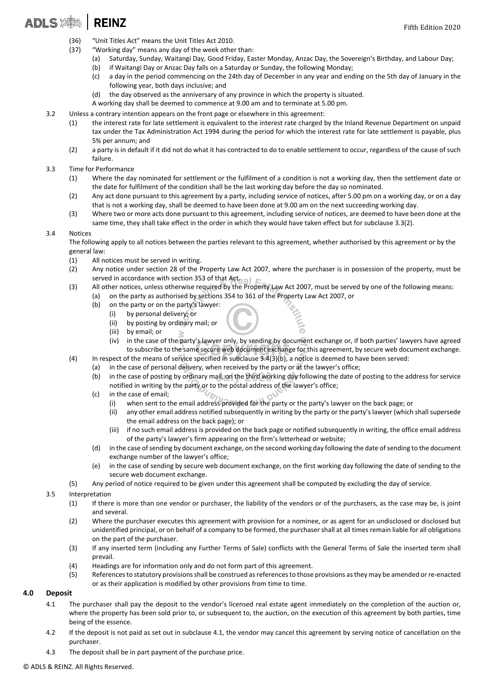- ADLS X | REINZ
	- (36) "Unit Titles Act" means the Unit Titles Act 2010.
	- (37) "Working day" means any day of the week other than:
		- (a) Saturday, Sunday, Waitangi Day, Good Friday, Easter Monday, Anzac Day, the Sovereign's Birthday, and Labour Day;
		- (b) if Waitangi Day or Anzac Day falls on a Saturday or Sunday, the following Monday;
		- (c) a day in the period commencing on the 24th day of December in any year and ending on the 5th day of January in the following year, both days inclusive; and
		- (d) the day observed as the anniversary of any province in which the property is situated.

A working day shall be deemed to commence at 9.00 am and to terminate at 5.00 pm.

- 3.2 Unless a contrary intention appears on the front page or elsewhere in this agreement:
	- (1) the interest rate for late settlement is equivalent to the interest rate charged by the Inland Revenue Department on unpaid tax under the Tax Administration Act 1994 during the period for which the interest rate for late settlement is payable, plus 5% per annum; and
	- (2) a party is in default if it did not do what it has contracted to do to enable settlement to occur, regardless of the cause of such failure.
- 3.3 Time for Performance
	- (1) Where the day nominated for settlement or the fulfilment of a condition is not a working day, then the settlement date or the date for fulfilment of the condition shall be the last working day before the day so nominated.
	- (2) Any act done pursuant to this agreement by a party, including service of notices, after 5.00 pm on a working day, or on a day that is not a working day, shall be deemed to have been done at 9.00 am on the next succeeding working day.
	- (3) Where two or more acts done pursuant to this agreement, including service of notices, are deemed to have been done at the same time, they shall take effect in the order in which they would have taken effect but for subclause 3.3(2).

### 3.4 Notices

The following apply to all notices between the parties relevant to this agreement, whether authorised by this agreement or by the general law:

- (1) All notices must be served in writing.
- (2) Any notice under section 28 of the Property Law Act 2007, where the purchaser is in possession of the property, must be served in accordance with section 353 of that Act.
- (3) All other notices, unless otherwise required by the Property Law Act 2007, must be served by one of the following means: (a) on the party as authorised by sections 354 to 361 of the Property Law Act 2007, or
	- (b) on the party or on the party's lawyer:
		- (i) by personal delivery; or
		- (ii) by posting by ordinary mail; or
		- (iii) by email; or
		- (iv) in the case of the party's lawyer only, by sending by document exchange or, if both parties' lawyers have agreed to subscribe to the same secure web document exchange for this agreement, by secure web document exchange.
- (4) In respect of the means of service specified in subclause 3.4(3)(b), a notice is deemed to have been served:
	- (a) in the case of personal delivery, when received by the party or at the lawyer's office;

 $y_{\rm h}$ 

- (b) in the case of posting by ordinary mail, on the third working day following the date of posting to the address for service notified in writing by the party or to the postal address of the lawyer's office;
- (c) in the case of email;
	- (i) when sent to the email address provided for the party or the party's lawyer on the back page; or
	- (ii) any other email address notified subsequently in writing by the party or the party's lawyer (which shall supersede the email address on the back page); or
	- (iii) if no such email address is provided on the back page or notified subsequently in writing, the office email address of the party's lawyer's firm appearing on the firm's letterhead or website;
- (d) in the case of sending by document exchange, on the second working day following the date of sending to the document exchange number of the lawyer's office;
- (e) in the case of sending by secure web document exchange, on the first working day following the date of sending to the secure web document exchange.
- (5) Any period of notice required to be given under this agreement shall be computed by excluding the day of service.
- 3.5 Interpretation
	- (1) If there is more than one vendor or purchaser, the liability of the vendors or of the purchasers, as the case may be, is joint and several.
	- (2) Where the purchaser executes this agreement with provision for a nominee, or as agent for an undisclosed or disclosed but unidentified principal, or on behalf of a company to be formed, the purchaser shall at all times remain liable for all obligations on the part of the purchaser.
	- (3) If any inserted term (including any Further Terms of Sale) conflicts with the General Terms of Sale the inserted term shall prevail.
	- (4) Headings are for information only and do not form part of this agreement.
	- (5) References to statutory provisions shall be construed as references to those provisions as they may be amended or re-enacted or as their application is modified by other provisions from time to time.

### **4.0 Deposit**

- 4.1 The purchaser shall pay the deposit to the vendor's licensed real estate agent immediately on the completion of the auction or, where the property has been sold prior to, or subsequent to, the auction, on the execution of this agreement by both parties, time being of the essence.
- 4.2 If the deposit is not paid as set out in subclause 4.1, the vendor may cancel this agreement by serving notice of cancellation on the purchaser.
- 4.3 The deposit shall be in part payment of the purchase price.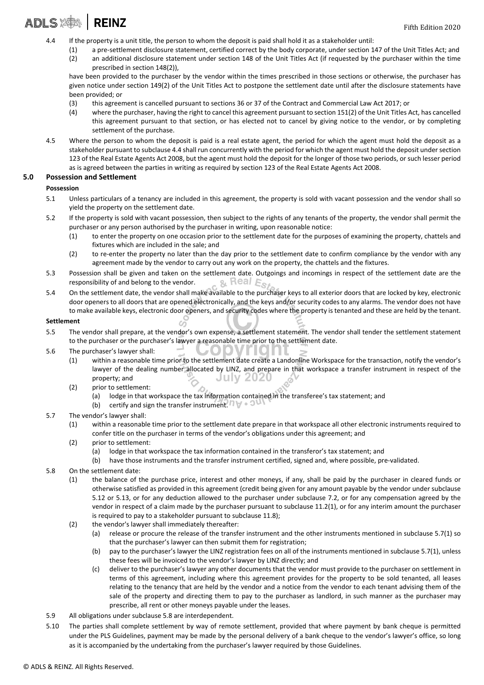### ADLS X | REINZ

- 4.4 If the property is a unit title, the person to whom the deposit is paid shall hold it as a stakeholder until:
	- (1) a pre-settlement disclosure statement, certified correct by the body corporate, under section 147 of the Unit Titles Act; and (2) an additional disclosure statement under section 148 of the Unit Titles Act (if requested by the purchaser within the time prescribed in section 148(2)),

have been provided to the purchaser by the vendor within the times prescribed in those sections or otherwise, the purchaser has given notice under section 149(2) of the Unit Titles Act to postpone the settlement date until after the disclosure statements have been provided; or

- (3) this agreement is cancelled pursuant to sections 36 or 37 of the Contract and Commercial Law Act 2017; or
- (4) where the purchaser, having the right to cancel this agreement pursuant to section 151(2) of the Unit Titles Act, has cancelled this agreement pursuant to that section, or has elected not to cancel by giving notice to the vendor, or by completing settlement of the purchase.
- 4.5 Where the person to whom the deposit is paid is a real estate agent, the period for which the agent must hold the deposit as a stakeholder pursuant to subclause 4.4 shall run concurrently with the period for which the agent must hold the deposit under section 123 of the Real Estate Agents Act 2008, but the agent must hold the deposit for the longer of those two periods, or such lesser period as is agreed between the parties in writing as required by section 123 of the Real Estate Agents Act 2008.

### **5.0 Possession and Settlement**

#### **Possession**

- 5.1 Unless particulars of a tenancy are included in this agreement, the property is sold with vacant possession and the vendor shall so yield the property on the settlement date.
- 5.2 If the property is sold with vacant possession, then subject to the rights of any tenants of the property, the vendor shall permit the purchaser or any person authorised by the purchaser in writing, upon reasonable notice:
	- (1) to enter the property on one occasion prior to the settlement date for the purposes of examining the property, chattels and fixtures which are included in the sale; and
	- (2) to re-enter the property no later than the day prior to the settlement date to confirm compliance by the vendor with any agreement made by the vendor to carry out any work on the property, the chattels and the fixtures.
- 5.3 Possession shall be given and taken on the settlement date. Outgoings and incomings in respect of the settlement date are the responsibility of and belong to the vendor. responsibility of and belong to the vendor.
- 5.4 On the settlement date, the vendor shall make available to the purchaser keys to all exterior doors that are locked by key, electronic door openers to all doors that are opened electronically, and the keys and/or security codes to any alarms. The vendor does not have to make available keys, electronic door openers, and security codes where the property is tenanted and these are held by the tenant.

#### **Settlement**

- 5.5 The vendor shall prepare, at the vendor's own expense, a settlement statement. The vendor shall tender the settlement statement to the purchaser or the purchaser's lawyer a reasonable time prior to the settlement date.
- 5.6 The purchaser's lawyer shall:
	- $\sqrt{2}$ (1) within a reasonable time prior to the settlement date create a Landonline Workspace for the transaction, notify the vendor's lawyer of the dealing number allocated by LINZ, and prepare in that workspace a transfer instrument in respect of the **July 2020** property; and

. . . .

- (2) prior to settlement:
	- (a) lodge in that workspace the tax information contained in the transferee's tax statement; and

ا بر

- (b) certify and sign the transfer instrument.  $\eta \triangledown \cdot 0$
- 5.7 The vendor's lawyer shall:
	- (1) within a reasonable time prior to the settlement date prepare in that workspace all other electronic instruments required to confer title on the purchaser in terms of the vendor's obligations under this agreement; and
	- (2) prior to settlement:
		- (a) lodge in that workspace the tax information contained in the transferor's tax statement; and
		- (b) have those instruments and the transfer instrument certified, signed and, where possible, pre-validated.
- 5.8 On the settlement date:
	- (1) the balance of the purchase price, interest and other moneys, if any, shall be paid by the purchaser in cleared funds or otherwise satisfied as provided in this agreement (credit being given for any amount payable by the vendor under subclause 5.12 or 5.13, or for any deduction allowed to the purchaser under subclause 7.2, or for any compensation agreed by the vendor in respect of a claim made by the purchaser pursuant to subclause 11.2(1), or for any interim amount the purchaser is required to pay to a stakeholder pursuant to subclause 11.8);
	- (2) the vendor's lawyer shall immediately thereafter:
		- (a) release or procure the release of the transfer instrument and the other instruments mentioned in subclause 5.7(1) so that the purchaser's lawyer can then submit them for registration;
		- (b) pay to the purchaser's lawyer the LINZ registration fees on all of the instruments mentioned in subclause 5.7(1), unless these fees will be invoiced to the vendor's lawyer by LINZ directly; and
		- (c) deliver to the purchaser's lawyer any other documents that the vendor must provide to the purchaser on settlement in terms of this agreement, including where this agreement provides for the property to be sold tenanted, all leases relating to the tenancy that are held by the vendor and a notice from the vendor to each tenant advising them of the sale of the property and directing them to pay to the purchaser as landlord, in such manner as the purchaser may prescribe, all rent or other moneys payable under the leases.
- 5.9 All obligations under subclause 5.8 are interdependent.
- 5.10 The parties shall complete settlement by way of remote settlement, provided that where payment by bank cheque is permitted under the PLS Guidelines, payment may be made by the personal delivery of a bank cheque to the vendor's lawyer's office, so long as it is accompanied by the undertaking from the purchaser's lawyer required by those Guidelines.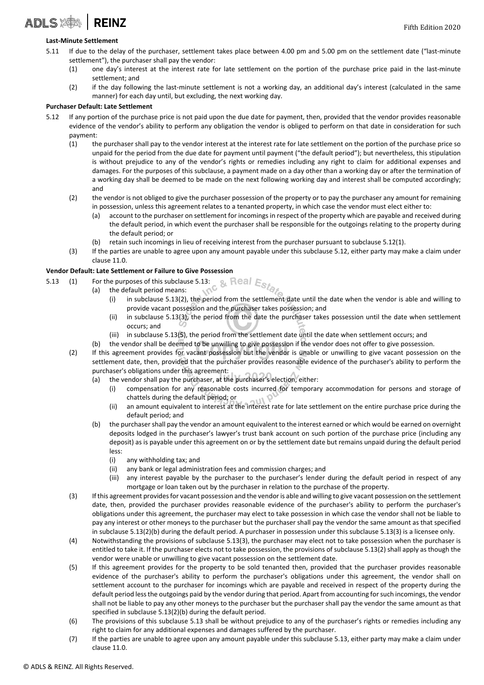### **Last-Minute Settlement**

ADLS **ADLS** 

- 5.11 If due to the delay of the purchaser, settlement takes place between 4.00 pm and 5.00 pm on the settlement date ("last-minute settlement"), the purchaser shall pay the vendor:
	- (1) one day's interest at the interest rate for late settlement on the portion of the purchase price paid in the last-minute settlement; and
	- (2) if the day following the last-minute settlement is not a working day, an additional day's interest (calculated in the same manner) for each day until, but excluding, the next working day.

### **Purchaser Default: Late Settlement**

- 5.12 If any portion of the purchase price is not paid upon the due date for payment, then, provided that the vendor provides reasonable evidence of the vendor's ability to perform any obligation the vendor is obliged to perform on that date in consideration for such payment:
	- (1) the purchaser shall pay to the vendor interest at the interest rate for late settlement on the portion of the purchase price so unpaid for the period from the due date for payment until payment ("the default period"); but nevertheless, this stipulation is without prejudice to any of the vendor's rights or remedies including any right to claim for additional expenses and damages. For the purposes of this subclause, a payment made on a day other than a working day or after the termination of a working day shall be deemed to be made on the next following working day and interest shall be computed accordingly; and
	- (2) the vendor is not obliged to give the purchaser possession of the property or to pay the purchaser any amount for remaining in possession, unless this agreement relates to a tenanted property, in which case the vendor must elect either to:
		- (a) account to the purchaser on settlement for incomings in respect of the property which are payable and received during the default period, in which event the purchaser shall be responsible for the outgoings relating to the property during the default period; or
		- (b) retain such incomings in lieu of receiving interest from the purchaser pursuant to subclause 5.12(1).
	- (3) If the parties are unable to agree upon any amount payable under this subclause 5.12, either party may make a claim under clause 11.0.

### **Vendor Default: Late Settlement or Failure to Give Possession**

- 5.13 (1) For the purposes of this subclause 5.13:  $\mathcal{B} \in \mathbb{R}$  Real  $\mathbb{E}_{S}$  /  $\mathcal{B}_{\mathcal{S}}$ 
	- (a) the default period means:
		- (i) in subclause 5.13(2), the period from the settlement date until the date when the vendor is able and willing to provide vacant possession and the purchaser takes possession; and
		- (ii) in subclause 5.13(3), the period from the date the purchaser takes possession until the date when settlement occurs; and
		- (iii) in subclause 5.13(5), the period from the settlement date until the date when settlement occurs; and
		- (b) the vendor shall be deemed to be unwilling to give possession if the vendor does not offer to give possession.
	- (2) If this agreement provides for vacant possession but the vendor is unable or unwilling to give vacant possession on the settlement date, then, provided that the purchaser provides reasonable evidence of the purchaser's ability to perform the purchaser's obligations under this agreement:
		- (a) the vendor shall pay the purchaser, at the purchaser's election, either:
			- (i) compensation for any reasonable costs incurred for temporary accommodation for persons and storage of chattels during the default period; or  $\circ$
			- (ii) an amount equivalent to interest at the interest rate for late settlement on the entire purchase price during the default period; and
		- (b) the purchaser shall pay the vendor an amount equivalent to the interest earned or which would be earned on overnight deposits lodged in the purchaser's lawyer's trust bank account on such portion of the purchase price (including any deposit) as is payable under this agreement on or by the settlement date but remains unpaid during the default period less:
			- (i) any withholding tax; and
			- (ii) any bank or legal administration fees and commission charges; and
			- (iii) any interest payable by the purchaser to the purchaser's lender during the default period in respect of any mortgage or loan taken out by the purchaser in relation to the purchase of the property.
	- (3) If this agreement provides for vacant possession and the vendor is able and willing to give vacant possession on the settlement date, then, provided the purchaser provides reasonable evidence of the purchaser's ability to perform the purchaser's obligations under this agreement, the purchaser may elect to take possession in which case the vendor shall not be liable to pay any interest or other moneys to the purchaser but the purchaser shall pay the vendor the same amount as that specified in subclause 5.13(2)(b) during the default period. A purchaser in possession under this subclause 5.13(3) is a licensee only.
	- (4) Notwithstanding the provisions of subclause 5.13(3), the purchaser may elect not to take possession when the purchaser is entitled to take it. If the purchaser elects not to take possession, the provisions of subclause 5.13(2) shall apply as though the vendor were unable or unwilling to give vacant possession on the settlement date.
	- (5) If this agreement provides for the property to be sold tenanted then, provided that the purchaser provides reasonable evidence of the purchaser's ability to perform the purchaser's obligations under this agreement, the vendor shall on settlement account to the purchaser for incomings which are payable and received in respect of the property during the default period less the outgoings paid by the vendor during that period. Apart from accounting for such incomings, the vendor shall not be liable to pay any other moneys to the purchaser but the purchaser shall pay the vendor the same amount as that specified in subclause 5.13(2)(b) during the default period.
	- (6) The provisions of this subclause 5.13 shall be without prejudice to any of the purchaser's rights or remedies including any right to claim for any additional expenses and damages suffered by the purchaser.
	- (7) If the parties are unable to agree upon any amount payable under this subclause 5.13, either party may make a claim under clause 11.0.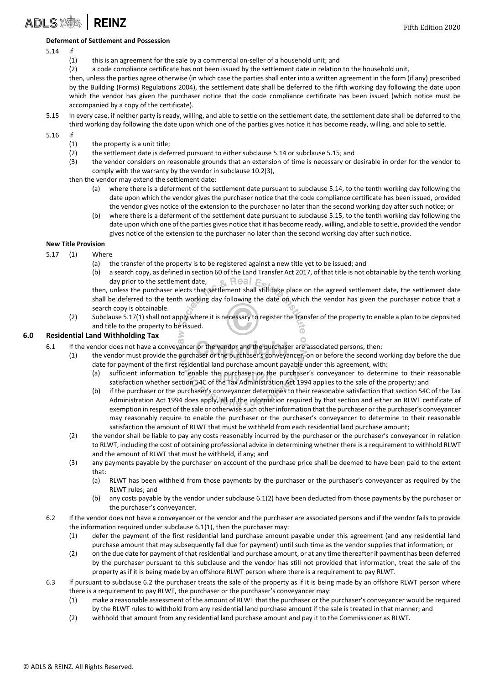#### **Deferment of Settlement and Possession**

### 5.14 If

**ADLS XA REINZ** 

- (1) this is an agreement for the sale by a commercial on-seller of a household unit; and
- (2) a code compliance certificate has not been issued by the settlement date in relation to the household unit,

then, unless the parties agree otherwise (in which case the parties shall enter into a written agreement in the form (if any) prescribed by the Building (Forms) Regulations 2004), the settlement date shall be deferred to the fifth working day following the date upon which the vendor has given the purchaser notice that the code compliance certificate has been issued (which notice must be accompanied by a copy of the certificate).

5.15 In every case, if neither party is ready, willing, and able to settle on the settlement date, the settlement date shall be deferred to the third working day following the date upon which one of the parties gives notice it has become ready, willing, and able to settle.

5.16 If

- (1) the property is a unit title;
- (2) the settlement date is deferred pursuant to either subclause 5.14 or subclause 5.15; and
- (3) the vendor considers on reasonable grounds that an extension of time is necessary or desirable in order for the vendor to comply with the warranty by the vendor in subclause 10.2(3),
- then the vendor may extend the settlement date:
	- (a) where there is a deferment of the settlement date pursuant to subclause 5.14, to the tenth working day following the date upon which the vendor gives the purchaser notice that the code compliance certificate has been issued, provided the vendor gives notice of the extension to the purchaser no later than the second working day after such notice; or
	- (b) where there is a deferment of the settlement date pursuant to subclause 5.15, to the tenth working day following the date upon which one of the parties gives notice that it has become ready, willing, and able to settle, provided the vendor gives notice of the extension to the purchaser no later than the second working day after such notice.

### **New Title Provision**

- 5.17 (1) Where
	- (a) the transfer of the property is to be registered against a new title yet to be issued; and
	- (b) a search copy, as defined in section 60 of the Land Transfer Act 2017, of that title is not obtainable by the tenth working day prior to the settlement date,  $\alpha$  Real  $\epsilon$
	- then, unless the purchaser elects that settlement shall still take place on the agreed settlement date, the settlement date shall be deferred to the tenth working day following the date on which the vendor has given the purchaser notice that a search copy is obtainable.
	- (2) Subclause 5.17(1) shall not apply where it is necessary to register the transfer of the property to enable a plan to be deposited and title to the property to be issued. 6

### **6.0 Residential Land Withholding Tax**

- 6.1 If the vendor does not have a conveyancer or the vendor and the purchaser are associated persons, then:
	- (1) the vendor must provide the purchaser or the purchaser's conveyancer, on or before the second working day before the due date for payment of the first residential land purchase amount payable under this agreement, with:
		- (a) sufficient information to enable the purchaser or the purchaser's conveyancer to determine to their reasonable satisfaction whether section 54C of the Tax Administration Act 1994 applies to the sale of the property; and
		- (b) if the purchaser or the purchaser's conveyancer determines to their reasonable satisfaction that section 54C of the Tax Administration Act 1994 does apply, all of the information required by that section and either an RLWT certificate of exemption in respect of the sale or otherwise such other information that the purchaser or the purchaser's conveyancer may reasonably require to enable the purchaser or the purchaser's conveyancer to determine to their reasonable satisfaction the amount of RLWT that must be withheld from each residential land purchase amount;
	- (2) the vendor shall be liable to pay any costs reasonably incurred by the purchaser or the purchaser's conveyancer in relation to RLWT, including the cost of obtaining professional advice in determining whether there is a requirement to withhold RLWT and the amount of RLWT that must be withheld, if any; and
	- (3) any payments payable by the purchaser on account of the purchase price shall be deemed to have been paid to the extent that:
		- (a) RLWT has been withheld from those payments by the purchaser or the purchaser's conveyancer as required by the RLWT rules; and
		- (b) any costs payable by the vendor under subclause 6.1(2) have been deducted from those payments by the purchaser or the purchaser's conveyancer.
- 6.2 If the vendor does not have a conveyancer or the vendor and the purchaser are associated persons and if the vendor fails to provide the information required under subclause 6.1(1), then the purchaser may:
	- (1) defer the payment of the first residential land purchase amount payable under this agreement (and any residential land purchase amount that may subsequently fall due for payment) until such time as the vendor supplies that information; or
	- (2) on the due date for payment of that residential land purchase amount, or at any time thereafter if payment has been deferred by the purchaser pursuant to this subclause and the vendor has still not provided that information, treat the sale of the property as if it is being made by an offshore RLWT person where there is a requirement to pay RLWT.
- 6.3 If pursuant to subclause 6.2 the purchaser treats the sale of the property as if it is being made by an offshore RLWT person where there is a requirement to pay RLWT, the purchaser or the purchaser's conveyancer may:
	- (1) make a reasonable assessment of the amount of RLWT that the purchaser or the purchaser's conveyancer would be required by the RLWT rules to withhold from any residential land purchase amount if the sale is treated in that manner; and
	- (2) withhold that amount from any residential land purchase amount and pay it to the Commissioner as RLWT.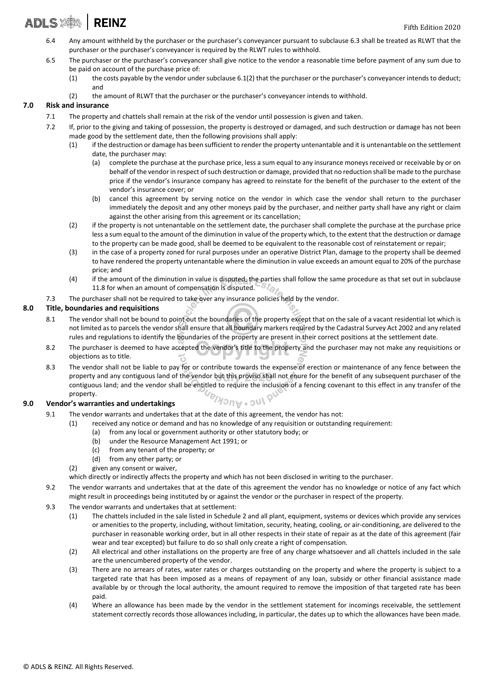## ADLS X | REINZ

- 6.4 Any amount withheld by the purchaser or the purchaser's conveyancer pursuant to subclause 6.3 shall be treated as RLWT that the purchaser or the purchaser's conveyancer is required by the RLWT rules to withhold.
- 6.5 The purchaser or the purchaser's conveyancer shall give notice to the vendor a reasonable time before payment of any sum due to be paid on account of the purchase price of:
	- (1) the costs payable by the vendor under subclause 6.1(2) that the purchaser or the purchaser's conveyancer intends to deduct; and
	- (2) the amount of RLWT that the purchaser or the purchaser's conveyancer intends to withhold.

### **7.0 Risk and insurance**

- 7.1 The property and chattels shall remain at the risk of the vendor until possession is given and taken.
- 7.2 If, prior to the giving and taking of possession, the property is destroyed or damaged, and such destruction or damage has not been made good by the settlement date, then the following provisions shall apply:
	- (1) if the destruction or damage has been sufficient to render the property untenantable and it is untenantable on the settlement date, the purchaser may:
		- (a) complete the purchase at the purchase price, less a sum equal to any insurance moneys received or receivable by or on behalf of the vendor in respect of such destruction or damage, provided that no reduction shall be made to the purchase price if the vendor's insurance company has agreed to reinstate for the benefit of the purchaser to the extent of the vendor's insurance cover; or
		- (b) cancel this agreement by serving notice on the vendor in which case the vendor shall return to the purchaser immediately the deposit and any other moneys paid by the purchaser, and neither party shall have any right or claim against the other arising from this agreement or its cancellation;
	- (2) if the property is not untenantable on the settlement date, the purchaser shall complete the purchase at the purchase price less a sum equal to the amount of the diminution in value of the property which, to the extent that the destruction or damage to the property can be made good, shall be deemed to be equivalent to the reasonable cost of reinstatement or repair;
	- (3) in the case of a property zoned for rural purposes under an operative District Plan, damage to the property shall be deemed to have rendered the property untenantable where the diminution in value exceeds an amount equal to 20% of the purchase price; and
	- (4) if the amount of the diminution in value is disputed, the parties shall follow the same procedure as that set out in subclause 11.8 for when an amount of compensation is disputed. 11.8 for when an amount of compensation is disputed.
- 7.3 The purchaser shall not be required to take over any insurance policies held by the vendor.

### **8.0 Title, boundaries and requisitions**

- 8.1 The vendor shall not be bound to point out the boundaries of the property except that on the sale of a vacant residential lot which is not limited as to parcels the vendor shall ensure that all boundary markers required by the Cadastral Survey Act 2002 and any related rules and regulations to identify the boundaries of the property are present in their correct positions at the settlement date.
- 8.2 The purchaser is deemed to have accepted the vendor's title to the property and the purchaser may not make any requisitions or objections as to title.
- 8.3 The vendor shall not be liable to pay for or contribute towards the expense of erection or maintenance of any fence between the property and any contiguous land of the vendor but this proviso shall not enure for the benefit of any subsequent purchaser of the contiguous land; and the vendor shall be entitled to require the inclusion of a fencing covenant to this effect in any transfer of the property. Iuc.vucklay

### **9.0 Vendor's warranties and undertakings**

- 9.1 The vendor warrants and undertakes that at the date of this agreement, the vendor has not:
	- (1) received any notice or demand and has no knowledge of any requisition or outstanding requirement:
		- (a) from any local or government authority or other statutory body; or
		- (b) under the Resource Management Act 1991; or
		- (c) from any tenant of the property; or
		- (d) from any other party; or
	- (2) given any consent or waiver,

which directly or indirectly affects the property and which has not been disclosed in writing to the purchaser.

- 9.2 The vendor warrants and undertakes that at the date of this agreement the vendor has no knowledge or notice of any fact which might result in proceedings being instituted by or against the vendor or the purchaser in respect of the property.
- 9.3 The vendor warrants and undertakes that at settlement:
	- (1) The chattels included in the sale listed in Schedule 2 and all plant, equipment, systems or devices which provide any services or amenities to the property, including, without limitation, security, heating, cooling, or air-conditioning, are delivered to the purchaser in reasonable working order, but in all other respects in their state of repair as at the date of this agreement (fair wear and tear excepted) but failure to do so shall only create a right of compensation.
	- (2) All electrical and other installations on the property are free of any charge whatsoever and all chattels included in the sale are the unencumbered property of the vendor.
	- (3) There are no arrears of rates, water rates or charges outstanding on the property and where the property is subject to a targeted rate that has been imposed as a means of repayment of any loan, subsidy or other financial assistance made available by or through the local authority, the amount required to remove the imposition of that targeted rate has been paid.
	- (4) Where an allowance has been made by the vendor in the settlement statement for incomings receivable, the settlement statement correctly records those allowances including, in particular, the dates up to which the allowances have been made.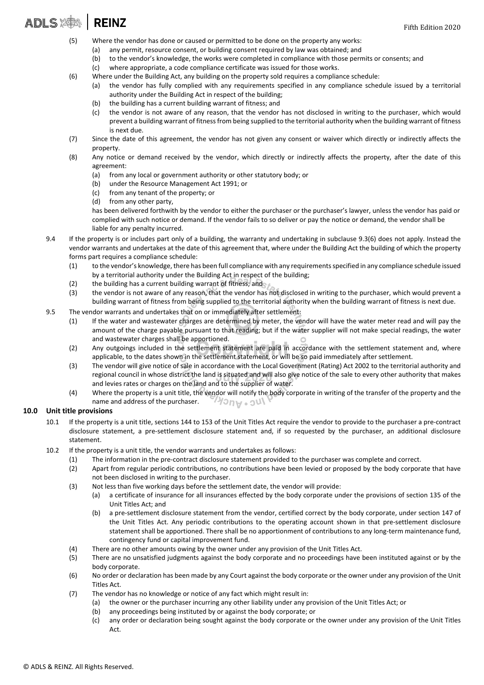### **ADLS SAM REINZ**

- (5) Where the vendor has done or caused or permitted to be done on the property any works:
	- (a) any permit, resource consent, or building consent required by law was obtained; and
	- (b) to the vendor's knowledge, the works were completed in compliance with those permits or consents; and
	- (c) where appropriate, a code compliance certificate was issued for those works.
- (6) Where under the Building Act, any building on the property sold requires a compliance schedule:
	- (a) the vendor has fully complied with any requirements specified in any compliance schedule issued by a territorial authority under the Building Act in respect of the building;
	- (b) the building has a current building warrant of fitness; and
	- (c) the vendor is not aware of any reason, that the vendor has not disclosed in writing to the purchaser, which would prevent a building warrant of fitness from being supplied to the territorial authority when the building warrant of fitness is next due.
- (7) Since the date of this agreement, the vendor has not given any consent or waiver which directly or indirectly affects the property.
- (8) Any notice or demand received by the vendor, which directly or indirectly affects the property, after the date of this agreement:
	- (a) from any local or government authority or other statutory body; or
	- (b) under the Resource Management Act 1991; or
	- (c) from any tenant of the property; or
	- (d) from any other party,

has been delivered forthwith by the vendor to either the purchaser or the purchaser's lawyer, unless the vendor has paid or complied with such notice or demand. If the vendor fails to so deliver or pay the notice or demand, the vendor shall be liable for any penalty incurred.

- 9.4 If the property is or includes part only of a building, the warranty and undertaking in subclause 9.3(6) does not apply. Instead the vendor warrants and undertakes at the date of this agreement that, where under the Building Act the building of which the property forms part requires a compliance schedule:
	- (1) to the vendor's knowledge, there has been full compliance with any requirements specified in any compliance schedule issued by a territorial authority under the Building Act in respect of the building;
	- (2) the building has a current building warrant of fitness; and
	- (3) the vendor is not aware of any reason, that the vendor has not disclosed in writing to the purchaser, which would prevent a building warrant of fitness from being supplied to the territorial authority when the building warrant of fitness is next due.
- 9.5 The vendor warrants and undertakes that on or immediately after settlement:
	- (1) If the water and wastewater charges are determined by meter, the vendor will have the water meter read and will pay the amount of the charge payable pursuant to that reading; but if the water supplier will not make special readings, the water and wastewater charges shall be apportioned.  $\circ$
	- (2) Any outgoings included in the settlement statement are paid in accordance with the settlement statement and, where applicable, to the dates shown in the settlement statement, or will be so paid immediately after settlement.
	- (3) The vendor will give notice of sale in accordance with the Local Government (Rating) Act 2002 to the territorial authority and regional council in whose district the land is situated and will also give notice of the sale to every other authority that makes and levies rates or charges on the land and to the supplier of water.
	- (4) Where the property is a unit title, the vendor will notify the body corporate in writing of the transfer of the property and the **MOUA** . Onl name and address of the purchaser.

#### **10.0 Unit title provisions**

- 10.1 If the property is a unit title, sections 144 to 153 of the Unit Titles Act require the vendor to provide to the purchaser a pre-contract disclosure statement, a pre-settlement disclosure statement and, if so requested by the purchaser, an additional disclosure statement.
- 10.2 If the property is a unit title, the vendor warrants and undertakes as follows:
	- (1) The information in the pre-contract disclosure statement provided to the purchaser was complete and correct.
	- (2) Apart from regular periodic contributions, no contributions have been levied or proposed by the body corporate that have not been disclosed in writing to the purchaser.
	- (3) Not less than five working days before the settlement date, the vendor will provide:
		- (a) a certificate of insurance for all insurances effected by the body corporate under the provisions of section 135 of the Unit Titles Act; and
			- (b) a pre-settlement disclosure statement from the vendor, certified correct by the body corporate, under section 147 of the Unit Titles Act. Any periodic contributions to the operating account shown in that pre-settlement disclosure statement shall be apportioned. There shall be no apportionment of contributions to any long-term maintenance fund, contingency fund or capital improvement fund.
	- (4) There are no other amounts owing by the owner under any provision of the Unit Titles Act.
	- (5) There are no unsatisfied judgments against the body corporate and no proceedings have been instituted against or by the body corporate.
	- (6) No order or declaration has been made by any Court against the body corporate or the owner under any provision of the Unit Titles Act.
	- (7) The vendor has no knowledge or notice of any fact which might result in:
		- (a) the owner or the purchaser incurring any other liability under any provision of the Unit Titles Act; or
			- (b) any proceedings being instituted by or against the body corporate; or
		- (c) any order or declaration being sought against the body corporate or the owner under any provision of the Unit Titles Act.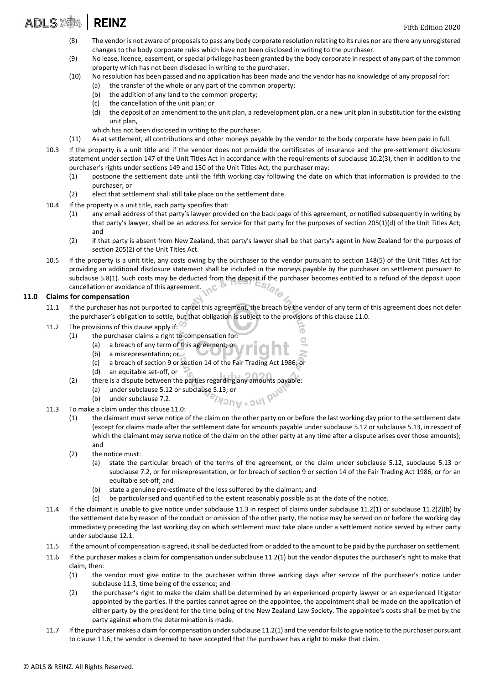#### **ADLS XON REINZ**

- (8) The vendor is not aware of proposals to pass any body corporate resolution relating to its rules nor are there any unregistered changes to the body corporate rules which have not been disclosed in writing to the purchaser.
- (9) No lease, licence, easement, or special privilege has been granted by the body corporate in respect of any part of the common property which has not been disclosed in writing to the purchaser.
- (10) No resolution has been passed and no application has been made and the vendor has no knowledge of any proposal for:
	- (a) the transfer of the whole or any part of the common property;
	- (b) the addition of any land to the common property;
	- (c) the cancellation of the unit plan; or
	- (d) the deposit of an amendment to the unit plan, a redevelopment plan, or a new unit plan in substitution for the existing unit plan,
	- which has not been disclosed in writing to the purchaser.
- (11) As at settlement, all contributions and other moneys payable by the vendor to the body corporate have been paid in full.
- 10.3 If the property is a unit title and if the vendor does not provide the certificates of insurance and the pre-settlement disclosure statement under section 147 of the Unit Titles Act in accordance with the requirements of subclause 10.2(3), then in addition to the purchaser's rights under sections 149 and 150 of the Unit Titles Act, the purchaser may:
	- (1) postpone the settlement date until the fifth working day following the date on which that information is provided to the purchaser; or
	- (2) elect that settlement shall still take place on the settlement date.
- 10.4 If the property is a unit title, each party specifies that:
	- (1) any email address of that party's lawyer provided on the back page of this agreement, or notified subsequently in writing by that party's lawyer, shall be an address for service for that party for the purposes of section 205(1)(d) of the Unit Titles Act; and
	- (2) if that party is absent from New Zealand, that party's lawyer shall be that party's agent in New Zealand for the purposes of section 205(2) of the Unit Titles Act.
- 10.5 If the property is a unit title, any costs owing by the purchaser to the vendor pursuant to section 148(5) of the Unit Titles Act for providing an additional disclosure statement shall be included in the moneys payable by the purchaser on settlement pursuant to subclause 5.8(1). Such costs may be deducted from the deposit if the purchaser becomes entitled to a refund of the deposit upon cancellation or avoidance of this agreement.

#### **11.0 Claims for compensation**

11.1 If the purchaser has not purported to cancel this agreement, the breach by the vendor of any term of this agreement does not defer the purchaser's obligation to settle, but that obligation is subject to the provisions of this clause 11.0.

6

- 11.2 The provisions of this clause apply if:  $\heartsuit$ 
	- (1) the purchaser claims a right to compensation for:
		- (a) a breach of any term of this agreement; or
		- (b) a misrepresentation; or
		- (c) a breach of section 9 or section 14 of the Fair Trading Act 1986; or
		- (d) an equitable set-off, or
	- (2) there is a dispute between the parties regarding any amounts payable:
		- (a) under subclause 5.12 or subclause 5.13; or
		- (b) under subclause 7.2.
- 11.3 To make a claim under this clause 11.0:
	- (1) the claimant must serve notice of the claim on the other party on or before the last working day prior to the settlement date (except for claims made after the settlement date for amounts payable under subclause 5.12 or subclause 5.13, in respect of which the claimant may serve notice of the claim on the other party at any time after a dispute arises over those amounts); and
	- (2) the notice must:
		- (a) state the particular breach of the terms of the agreement, or the claim under subclause 5.12, subclause 5.13 or subclause 7.2, or for misrepresentation, or for breach of section 9 or section 14 of the Fair Trading Act 1986, or for an equitable set-off; and
		- (b) state a genuine pre-estimate of the loss suffered by the claimant; and
		- (c) be particularised and quantified to the extent reasonably possible as at the date of the notice.

 $70n$ woul

- 11.4 If the claimant is unable to give notice under subclause 11.3 in respect of claims under subclause 11.2(1) or subclause 11.2(2)(b) by the settlement date by reason of the conduct or omission of the other party, the notice may be served on or before the working day immediately preceding the last working day on which settlement must take place under a settlement notice served by either party under subclause 12.1.
- 11.5 If the amount of compensation is agreed, it shall be deducted from or added to the amount to be paid by the purchaser on settlement.
- 11.6 If the purchaser makes a claim for compensation under subclause 11.2(1) but the vendor disputes the purchaser's right to make that claim, then:
	- (1) the vendor must give notice to the purchaser within three working days after service of the purchaser's notice under subclause 11.3, time being of the essence; and
	- (2) the purchaser's right to make the claim shall be determined by an experienced property lawyer or an experienced litigator appointed by the parties. If the parties cannot agree on the appointee, the appointment shall be made on the application of either party by the president for the time being of the New Zealand Law Society. The appointee's costs shall be met by the party against whom the determination is made.
- 11.7 If the purchaser makes a claim for compensation under subclause 11.2(1) and the vendor fails to give notice to the purchaser pursuant to clause 11.6, the vendor is deemed to have accepted that the purchaser has a right to make that claim.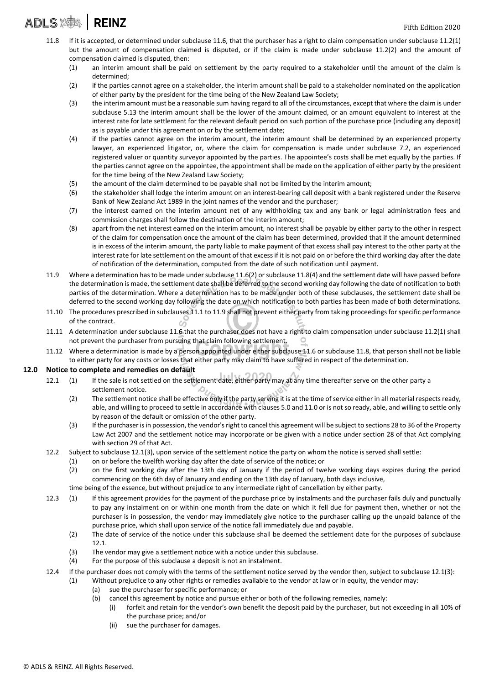## ADLS **2004** REINZ

- 11.8 If it is accepted, or determined under subclause 11.6, that the purchaser has a right to claim compensation under subclause 11.2(1) but the amount of compensation claimed is disputed, or if the claim is made under subclause 11.2(2) and the amount of compensation claimed is disputed, then:
	- (1) an interim amount shall be paid on settlement by the party required to a stakeholder until the amount of the claim is determined;
	- (2) if the parties cannot agree on a stakeholder, the interim amount shall be paid to a stakeholder nominated on the application of either party by the president for the time being of the New Zealand Law Society;
	- (3) the interim amount must be a reasonable sum having regard to all of the circumstances, except that where the claim is under subclause 5.13 the interim amount shall be the lower of the amount claimed, or an amount equivalent to interest at the interest rate for late settlement for the relevant default period on such portion of the purchase price (including any deposit) as is payable under this agreement on or by the settlement date;
	- (4) if the parties cannot agree on the interim amount, the interim amount shall be determined by an experienced property lawyer, an experienced litigator, or, where the claim for compensation is made under subclause 7.2, an experienced registered valuer or quantity surveyor appointed by the parties. The appointee's costs shall be met equally by the parties. If the parties cannot agree on the appointee, the appointment shall be made on the application of either party by the president for the time being of the New Zealand Law Society;
	- (5) the amount of the claim determined to be payable shall not be limited by the interim amount;
	- (6) the stakeholder shall lodge the interim amount on an interest-bearing call deposit with a bank registered under the Reserve Bank of New Zealand Act 1989 in the joint names of the vendor and the purchaser;
	- (7) the interest earned on the interim amount net of any withholding tax and any bank or legal administration fees and commission charges shall follow the destination of the interim amount;
	- (8) apart from the net interest earned on the interim amount, no interest shall be payable by either party to the other in respect of the claim for compensation once the amount of the claim has been determined, provided that if the amount determined is in excess of the interim amount, the party liable to make payment of that excess shall pay interest to the other party at the interest rate for late settlement on the amount of that excess if it is not paid on or before the third working day after the date of notification of the determination, computed from the date of such notification until payment.
- 11.9 Where a determination has to be made under subclause 11.6(2) or subclause 11.8(4) and the settlement date will have passed before the determination is made, the settlement date shall be deferred to the second working day following the date of notification to both parties of the determination. Where a determination has to be made under both of these subclauses, the settlement date shall be deferred to the second working day following the date on which notification to both parties has been made of both determinations.
- 11.10 The procedures prescribed in subclauses 11.1 to 11.9 shall not prevent either party from taking proceedings for specific performance of the contract.
- 11.11 A determination under subclause 11.6 that the purchaser does not have a right to claim compensation under subclause 11.2(1) shall not prevent the purchaser from pursuing that claim following settlement.
- 11.12 Where a determination is made by a person appointed under either subclause 11.6 or subclause 11.8, that person shall not be liable to either party for any costs or losses that either party may claim to have suffered in respect of the determination.

### **12.0 Notice to complete and remedies on default**

- 12.1 (1) If the sale is not settled on the settlement date, either party may at any time thereafter serve on the other party a settlement notice. Æ
	- (2) The settlement notice shall be effective only if the party serving it is at the time of service either in all material respects ready, able, and willing to proceed to settle in accordance with clauses 5.0 and 11.0 or is not so ready, able, and willing to settle only by reason of the default or omission of the other party.
	- (3) If the purchaser is in possession, the vendor's right to cancel this agreement will be subject to sections 28 to 36 of the Property Law Act 2007 and the settlement notice may incorporate or be given with a notice under section 28 of that Act complying with section 29 of that Act.
- 12.2 Subject to subclause 12.1(3), upon service of the settlement notice the party on whom the notice is served shall settle:
	- (1) on or before the twelfth working day after the date of service of the notice; or
	- (2) on the first working day after the 13th day of January if the period of twelve working days expires during the period commencing on the 6th day of January and ending on the 13th day of January, both days inclusive,
	- time being of the essence, but without prejudice to any intermediate right of cancellation by either party.
- 12.3 (1) If this agreement provides for the payment of the purchase price by instalments and the purchaser fails duly and punctually to pay any instalment on or within one month from the date on which it fell due for payment then, whether or not the purchaser is in possession, the vendor may immediately give notice to the purchaser calling up the unpaid balance of the purchase price, which shall upon service of the notice fall immediately due and payable.
	- (2) The date of service of the notice under this subclause shall be deemed the settlement date for the purposes of subclause 12.1.
	- (3) The vendor may give a settlement notice with a notice under this subclause.
	- (4) For the purpose of this subclause a deposit is not an instalment.
- 12.4 If the purchaser does not comply with the terms of the settlement notice served by the vendor then, subject to subclause 12.1(3):
	- (1) Without prejudice to any other rights or remedies available to the vendor at law or in equity, the vendor may:
		- (a) sue the purchaser for specific performance; or
		- (b) cancel this agreement by notice and pursue either or both of the following remedies, namely:
			- (i) forfeit and retain for the vendor's own benefit the deposit paid by the purchaser, but not exceeding in all 10% of the purchase price; and/or
			- (ii) sue the purchaser for damages.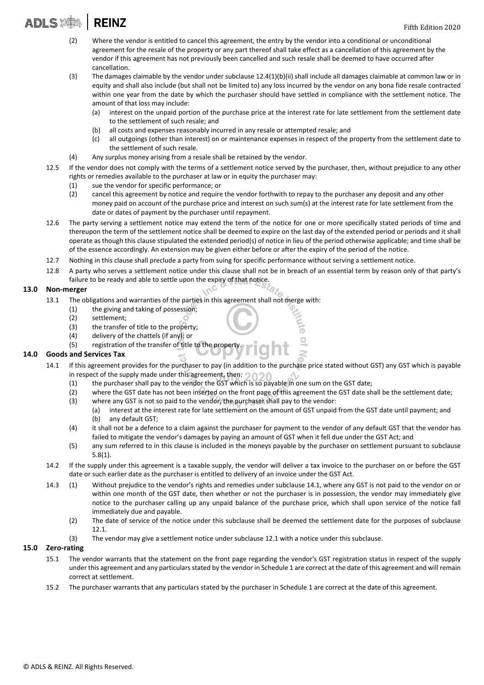**ADLS XAX**  $|$  REINZ

- (2) Where the vendor is entitled to cancel this agreement, the entry by the vendor into a conditional or unconditional agreement for the resale of the property or any part thereof shall take effect as a cancellation of this agreement by the vendor if this agreement has not previously been cancelled and such resale shall be deemed to have occurred after cancellation.
- (3) The damages claimable by the vendor under subclause 12.4(1)(b)(ii) shall include all damages claimable at common law or in equity and shall also include (but shall not be limited to) any loss incurred by the vendor on any bona fide resale contracted within one year from the date by which the purchaser should have settled in compliance with the settlement notice. The amount of that loss may include:
	- (a) interest on the unpaid portion of the purchase price at the interest rate for late settlement from the settlement date to the settlement of such resale; and
	- (b) all costs and expenses reasonably incurred in any resale or attempted resale; and
	- (c) all outgoings (other than interest) on or maintenance expenses in respect of the property from the settlement date to the settlement of such resale.
- (4) Any surplus money arising from a resale shall be retained by the vendor.
- 12.5 If the vendor does not comply with the terms of a settlement notice served by the purchaser, then, without prejudice to any other rights or remedies available to the purchaser at law or in equity the purchaser may:
	- (1) sue the vendor for specific performance; or
	- (2) cancel this agreement by notice and require the vendor forthwith to repay to the purchaser any deposit and any other money paid on account of the purchase price and interest on such sum(s) at the interest rate for late settlement from the date or dates of payment by the purchaser until repayment.
- 12.6 The party serving a settlement notice may extend the term of the notice for one or more specifically stated periods of time and thereupon the term of the settlement notice shall be deemed to expire on the last day of the extended period or periods and it shall operate as though this clause stipulated the extended period(s) of notice in lieu of the period otherwise applicable; and time shall be of the essence accordingly. An extension may be given either before or after the expiry of the period of the notice.
- 12.7 Nothing in this clause shall preclude a party from suing for specific performance without serving a settlement notice.
- 12.8 A party who serves a settlement notice under this clause shall not be in breach of an essential term by reason only of that party's failure to be ready and able to settle upon the expiry of that notice

### **13.0 Non-merger**

- 13.1 The obligations and warranties of the parties in this agreement shall not merge with:
	- (1) the giving and taking of possession;
	- (2) settlement;
	- (3) the transfer of title to the property;
	- (4) delivery of the chattels (if any); or
	- (5) registration of the transfer of title to the property.

### **14.0 Goods and Services Tax**

- 14.1 If this agreement provides for the purchaser to pay (in addition to the purchase price stated without GST) any GST which is payable in respect of the supply made under this agreement, then:  $\bigcirc$ 
	- (1) the purchaser shall pay to the vendor the GST which is so payable in one sum on the GST date;
	- (2) where the GST date has not been inserted on the front page of this agreement the GST date shall be the settlement date;
	- (3) where any GST is not so paid to the vendor, the purchaser shall pay to the vendor:
		- (a) interest at the interest rate for late settlement on the amount of GST unpaid from the GST date until payment; and (b) any default GST;
	- (4) it shall not be a defence to a claim against the purchaser for payment to the vendor of any default GST that the vendor has failed to mitigate the vendor's damages by paying an amount of GST when it fell due under the GST Act; and
	- (5) any sum referred to in this clause is included in the moneys payable by the purchaser on settlement pursuant to subclause 5.8(1).
- 14.2 If the supply under this agreement is a taxable supply, the vendor will deliver a tax invoice to the purchaser on or before the GST date or such earlier date as the purchaser is entitled to delivery of an invoice under the GST Act.
- 14.3 (1) Without prejudice to the vendor's rights and remedies under subclause 14.1, where any GST is not paid to the vendor on or within one month of the GST date, then whether or not the purchaser is in possession, the vendor may immediately give notice to the purchaser calling up any unpaid balance of the purchase price, which shall upon service of the notice fall immediately due and payable.
	- (2) The date of service of the notice under this subclause shall be deemed the settlement date for the purposes of subclause 12.1.
	- (3) The vendor may give a settlement notice under subclause 12.1 with a notice under this subclause.

### **15.0 Zero-rating**

- 15.1 The vendor warrants that the statement on the front page regarding the vendor's GST registration status in respect of the supply under this agreement and any particulars stated by the vendor in Schedule 1 are correct at the date of this agreement and will remain correct at settlement.
- 15.2 The purchaser warrants that any particulars stated by the purchaser in Schedule 1 are correct at the date of this agreement.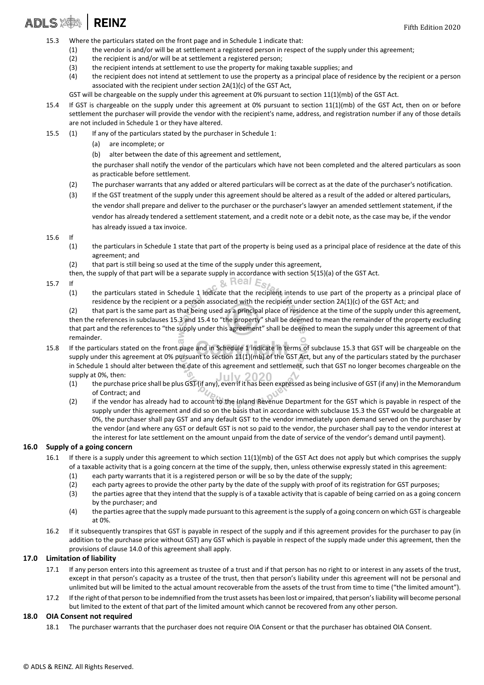### ADLS X | REINZ

- 15.3 Where the particulars stated on the front page and in Schedule 1 indicate that:
	- (1) the vendor is and/or will be at settlement a registered person in respect of the supply under this agreement;
	- (2) the recipient is and/or will be at settlement a registered person;
	- (3) the recipient intends at settlement to use the property for making taxable supplies; and
	- (4) the recipient does not intend at settlement to use the property as a principal place of residence by the recipient or a person associated with the recipient under section 2A(1)(c) of the GST Act,
	- GST will be chargeable on the supply under this agreement at 0% pursuant to section 11(1)(mb) of the GST Act.
- 15.4 If GST is chargeable on the supply under this agreement at 0% pursuant to section 11(1)(mb) of the GST Act, then on or before settlement the purchaser will provide the vendor with the recipient's name, address, and registration number if any of those details are not included in Schedule 1 or they have altered.
- 15.5 (1) If any of the particulars stated by the purchaser in Schedule 1:
	- (a) are incomplete; or
	- (b) alter between the date of this agreement and settlement,

the purchaser shall notify the vendor of the particulars which have not been completed and the altered particulars as soon as practicable before settlement.

- (2) The purchaser warrants that any added or altered particulars will be correct as at the date of the purchaser's notification.
- (3) If the GST treatment of the supply under this agreement should be altered as a result of the added or altered particulars, the vendor shall prepare and deliver to the purchaser or the purchaser's lawyer an amended settlement statement, if the vendor has already tendered a settlement statement, and a credit note or a debit note, as the case may be, if the vendor has already issued a tax invoice.
- 15.6 If
	- (1) the particulars in Schedule 1 state that part of the property is being used as a principal place of residence at the date of this agreement; and
	- (2) that part is still being so used at the time of the supply under this agreement,
	- then, the supply of that part will be a separate supply in accordance with section 5(15)(a) of the GST Act.<br>If
- 15.7 If
	- (1) the particulars stated in Schedule 1 indicate that the recipient intends to use part of the property as a principal place of residence by the recipient or a person associated with the recipient under section 2A(1)(c) of the GST Act; and

(2) that part is the same part as that being used as a principal place of residence at the time of the supply under this agreement, then the references in subclauses 15.3 and 15.4 to "the property" shall be deemed to mean the remainder of the property excluding that part and the references to "the supply under this agreement" shall be deemed to mean the supply under this agreement of that remainder.

- 15.8 If the particulars stated on the front page and in Schedule 1 indicate in terms of subclause 15.3 that GST will be chargeable on the supply under this agreement at 0% pursuant to section 11(1)(mb) of the GST Act, but any of the particulars stated by the purchaser in Schedule 1 should alter between the date of this agreement and settlement, such that GST no longer becomes chargeable on the supply at 0%, then: July 2020
	- (1) the purchase price shall be plus GST (if any), even if it has been expressed as being inclusive of GST (if any) in the Memorandum of Contract; and
	- (2) if the vendor has already had to account to the Inland Revenue Department for the GST which is payable in respect of the supply under this agreement and did so on the basis that in accordance with subclause 15.3 the GST would be chargeable at 0%, the purchaser shall pay GST and any default GST to the vendor immediately upon demand served on the purchaser by the vendor (and where any GST or default GST is not so paid to the vendor, the purchaser shall pay to the vendor interest at the interest for late settlement on the amount unpaid from the date of service of the vendor's demand until payment).

### **16.0 Supply of a going concern**

- 16.1 If there is a supply under this agreement to which section 11(1)(mb) of the GST Act does not apply but which comprises the supply of a taxable activity that is a going concern at the time of the supply, then, unless otherwise expressly stated in this agreement:
	- (1) each party warrants that it is a registered person or will be so by the date of the supply;
	- (2) each party agrees to provide the other party by the date of the supply with proof of its registration for GST purposes;
	- (3) the parties agree that they intend that the supply is of a taxable activity that is capable of being carried on as a going concern by the purchaser; and
	- (4) the parties agree that the supply made pursuant to this agreement is the supply of a going concern on which GST is chargeable at 0%.
- 16.2 If it subsequently transpires that GST is payable in respect of the supply and if this agreement provides for the purchaser to pay (in addition to the purchase price without GST) any GST which is payable in respect of the supply made under this agreement, then the provisions of clause 14.0 of this agreement shall apply.

### **17.0 Limitation of liability**

- 17.1 If any person enters into this agreement as trustee of a trust and if that person has no right to or interest in any assets of the trust, except in that person's capacity as a trustee of the trust, then that person's liability under this agreement will not be personal and unlimited but will be limited to the actual amount recoverable from the assets of the trust from time to time ("the limited amount").
- 17.2 If the right of that person to be indemnified from the trust assets has been lost or impaired, that person's liability will become personal but limited to the extent of that part of the limited amount which cannot be recovered from any other person.

### **18.0 OIA Consent not required**

18.1 The purchaser warrants that the purchaser does not require OIA Consent or that the purchaser has obtained OIA Consent.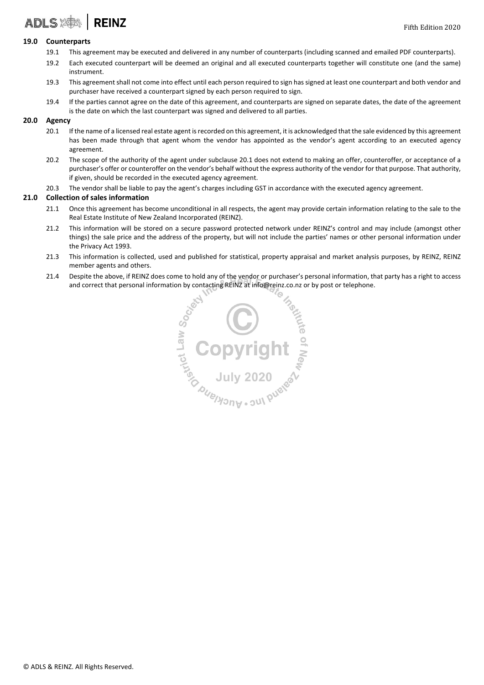### **ADLS REINZ**

### **19.0 Counterparts**

- 19.1 This agreement may be executed and delivered in any number of counterparts (including scanned and emailed PDF counterparts).
- 19.2 Each executed counterpart will be deemed an original and all executed counterparts together will constitute one (and the same) instrument.
- 19.3 This agreement shall not come into effect until each person required to sign has signed at least one counterpart and both vendor and purchaser have received a counterpart signed by each person required to sign.
- 19.4 If the parties cannot agree on the date of this agreement, and counterparts are signed on separate dates, the date of the agreement is the date on which the last counterpart was signed and delivered to all parties.

### **20.0 Agency**

- 20.1 If the name of a licensed real estate agent is recorded on this agreement, it is acknowledged that the sale evidenced by this agreement has been made through that agent whom the vendor has appointed as the vendor's agent according to an executed agency agreement.
- 20.2 The scope of the authority of the agent under subclause 20.1 does not extend to making an offer, counteroffer, or acceptance of a purchaser's offer or counteroffer on the vendor's behalf without the express authority of the vendor for that purpose. That authority, if given, should be recorded in the executed agency agreement.
- 20.3 The vendor shall be liable to pay the agent's charges including GST in accordance with the executed agency agreement.

#### **21.0 Collection of sales information**

- 21.1 Once this agreement has become unconditional in all respects, the agent may provide certain information relating to the sale to the Real Estate Institute of New Zealand Incorporated (REINZ).
- 21.2 This information will be stored on a secure password protected network under REINZ's control and may include (amongst other things) the sale price and the address of the property, but will not include the parties' names or other personal information under the Privacy Act 1993.
- 21.3 This information is collected, used and published for statistical, property appraisal and market analysis purposes, by REINZ, REINZ member agents and others.
- 21.4 Despite the above, if REINZ does come to hold any of the vendor or purchaser's personal information, that party has a right to access

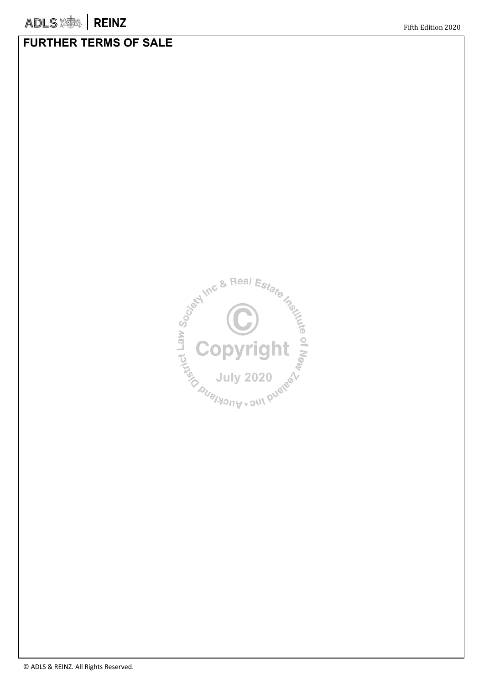### **FURTHER TERMS OF SALE**

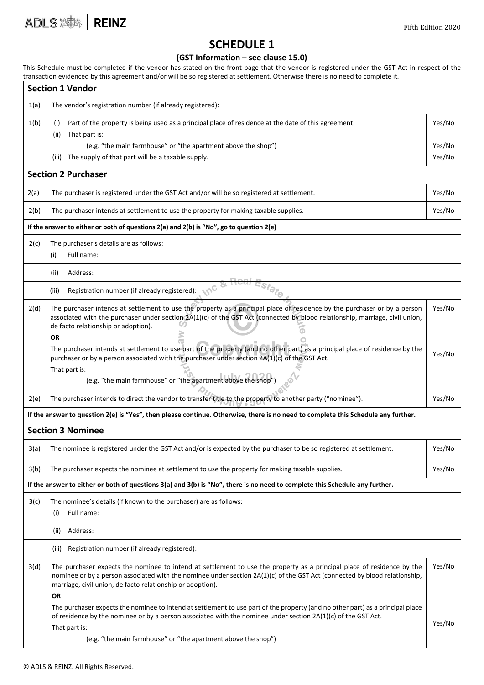Fifth Edition 2020

### **SCHEDULE 1**

### **(GST Information – see clause 15.0)**

This Schedule must be completed if the vendor has stated on the front page that the vendor is registered under the GST Act in respect of the transaction evidenced by this agreement and/or will be so registered at settlement. Otherwise there is no need to complete it.

|                                                                                                                                   | <b>Section 1 Vendor</b>                                                                                                                                                                                                                                                                                                         |        |  |  |  |  |  |
|-----------------------------------------------------------------------------------------------------------------------------------|---------------------------------------------------------------------------------------------------------------------------------------------------------------------------------------------------------------------------------------------------------------------------------------------------------------------------------|--------|--|--|--|--|--|
| 1(a)                                                                                                                              | The vendor's registration number (if already registered):                                                                                                                                                                                                                                                                       |        |  |  |  |  |  |
| 1(b)                                                                                                                              | Part of the property is being used as a principal place of residence at the date of this agreement.<br>(i)<br>That part is:<br>(ii)                                                                                                                                                                                             | Yes/No |  |  |  |  |  |
|                                                                                                                                   | (e.g. "the main farmhouse" or "the apartment above the shop")                                                                                                                                                                                                                                                                   | Yes/No |  |  |  |  |  |
|                                                                                                                                   | The supply of that part will be a taxable supply.<br>(iii)                                                                                                                                                                                                                                                                      | Yes/No |  |  |  |  |  |
| <b>Section 2 Purchaser</b>                                                                                                        |                                                                                                                                                                                                                                                                                                                                 |        |  |  |  |  |  |
| 2(a)                                                                                                                              | The purchaser is registered under the GST Act and/or will be so registered at settlement.                                                                                                                                                                                                                                       | Yes/No |  |  |  |  |  |
| 2(b)                                                                                                                              | The purchaser intends at settlement to use the property for making taxable supplies.                                                                                                                                                                                                                                            | Yes/No |  |  |  |  |  |
| If the answer to either or both of questions 2(a) and 2(b) is "No", go to question 2(e)                                           |                                                                                                                                                                                                                                                                                                                                 |        |  |  |  |  |  |
| 2(c)                                                                                                                              | The purchaser's details are as follows:<br>Full name:<br>(i)                                                                                                                                                                                                                                                                    |        |  |  |  |  |  |
|                                                                                                                                   | Address:<br>(ii)                                                                                                                                                                                                                                                                                                                |        |  |  |  |  |  |
|                                                                                                                                   | Registration number (if already registered):<br>(iii)                                                                                                                                                                                                                                                                           |        |  |  |  |  |  |
| 2(d)                                                                                                                              | The purchaser intends at settlement to use the property as a principal place of residence by the purchaser or by a person<br>associated with the purchaser under section 2A(1)(c) of the GST Act (connected by blood relationship, marriage, civil union,<br>de facto relationship or adoption).<br><b>OR</b>                   | Yes/No |  |  |  |  |  |
|                                                                                                                                   | The purchaser intends at settlement to use part of the property (and no other part) as a principal place of residence by the<br>purchaser or by a person associated with the purchaser under section 2A(1)(c) of the GST Act.<br>That part is:                                                                                  | Yes/No |  |  |  |  |  |
|                                                                                                                                   | (e.g. "the main farmhouse" or "the apartment above the shop"                                                                                                                                                                                                                                                                    |        |  |  |  |  |  |
| 2(e)                                                                                                                              | The purchaser intends to direct the vendor to transfer title to the property to another party ("nominee").                                                                                                                                                                                                                      | Yes/No |  |  |  |  |  |
| If the answer to question 2(e) is "Yes", then please continue. Otherwise, there is no need to complete this Schedule any further. |                                                                                                                                                                                                                                                                                                                                 |        |  |  |  |  |  |
|                                                                                                                                   | <b>Section 3 Nominee</b>                                                                                                                                                                                                                                                                                                        |        |  |  |  |  |  |
| 3(a)                                                                                                                              | The nominee is registered under the GST Act and/or is expected by the purchaser to be so registered at settlement.                                                                                                                                                                                                              | Yes/No |  |  |  |  |  |
| 3(b)                                                                                                                              | The purchaser expects the nominee at settlement to use the property for making taxable supplies.                                                                                                                                                                                                                                | Yes/No |  |  |  |  |  |
| If the answer to either or both of questions 3(a) and 3(b) is "No", there is no need to complete this Schedule any further.       |                                                                                                                                                                                                                                                                                                                                 |        |  |  |  |  |  |
| 3(c)                                                                                                                              | The nominee's details (if known to the purchaser) are as follows:<br>Full name:<br>(i)                                                                                                                                                                                                                                          |        |  |  |  |  |  |
|                                                                                                                                   | (ii) Address:                                                                                                                                                                                                                                                                                                                   |        |  |  |  |  |  |
|                                                                                                                                   | (iii) Registration number (if already registered):                                                                                                                                                                                                                                                                              |        |  |  |  |  |  |
| 3(d)                                                                                                                              | The purchaser expects the nominee to intend at settlement to use the property as a principal place of residence by the<br>nominee or by a person associated with the nominee under section 2A(1)(c) of the GST Act (connected by blood relationship,<br>marriage, civil union, de facto relationship or adoption).<br><b>OR</b> | Yes/No |  |  |  |  |  |
|                                                                                                                                   | The purchaser expects the nominee to intend at settlement to use part of the property (and no other part) as a principal place<br>of residence by the nominee or by a person associated with the nominee under section 2A(1)(c) of the GST Act.<br>That part is:                                                                | Yes/No |  |  |  |  |  |
|                                                                                                                                   | (e.g. "the main farmhouse" or "the apartment above the shop")                                                                                                                                                                                                                                                                   |        |  |  |  |  |  |

ADLS **ADLS**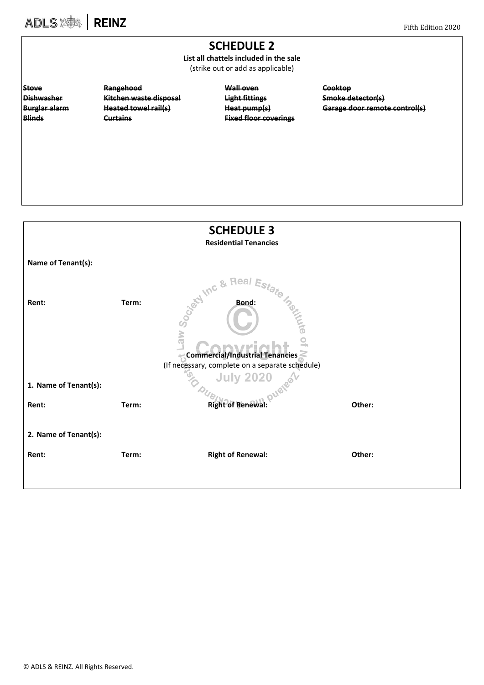## ADLS **SOLS** | REINZ

### **SCHEDULE 2**

**List all chattels included in the sale** (strike out or add as applicable)

**Dishwasher Kitchen waste disposal Light fittings Smoke detector(s)**

**Stove Rangehood Wall oven Cooktop Blinds Curtains Fixed floor coverings**

**Burglar alarm Heated towel rail(s) Heat pump(s) Garage door remote control(s)**

| <b>SCHEDULE 3</b>               |       |                                                 |        |  |  |  |  |
|---------------------------------|-------|-------------------------------------------------|--------|--|--|--|--|
| <b>Residential Tenancies</b>    |       |                                                 |        |  |  |  |  |
| Name of Tenant(s):              |       |                                                 |        |  |  |  |  |
| Rent:                           | Term: | Real<br>Sociolation & 1<br><b>Bond:</b>         |        |  |  |  |  |
|                                 |       | aw                                              |        |  |  |  |  |
| Commercial/Industrial Tenancies |       |                                                 |        |  |  |  |  |
|                                 |       | (If necessary, complete on a separate schedule) |        |  |  |  |  |
| 1. Name of Tenant(s):           |       | July 2020                                       |        |  |  |  |  |
| Rent:                           | Term: | <b>Right of Renewal:</b>                        | Other: |  |  |  |  |
| 2. Name of Tenant(s):           |       |                                                 |        |  |  |  |  |
| Rent:                           | Term: | <b>Right of Renewal:</b>                        | Other: |  |  |  |  |
|                                 |       |                                                 |        |  |  |  |  |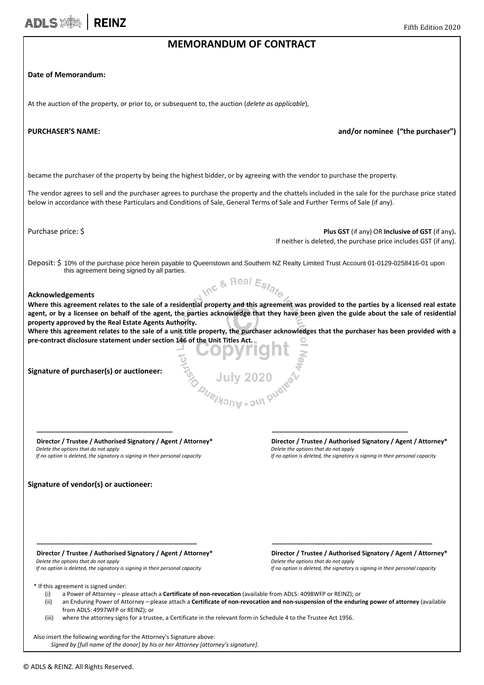### **MEMORANDUM OF CONTRACT**

### **Date of Memorandum:**

ADLS **ADLS** 

At the auction of the property, or prior to, or subsequent to, the auction (*delete as applicable*),

**PURCHASER'S NAME: and/or nominee ("the purchaser")**

became the purchaser of the property by being the highest bidder, or by agreeing with the vendor to purchase the property.

The vendor agrees to sell and the purchaser agrees to purchase the property and the chattels included in the sale for the purchase price stated below in accordance with these Particulars and Conditions of Sale, General Terms of Sale and Further Terms of Sale (if any).

**Purchase price: \$ Plus GST** (if any) OR **Inclusive of GST** (if any). If neither is deleted, the purchase price includes GST (if any).

Deposit: \$ 10% of the purchase price herein payable to Queenstown and Southern NZ Realty Limited Trust Account 01-0129-0258416-01 upon this agreement being signed by all parties.nc & Real Estat

### **Acknowledgements**

**Where this agreement relates to the sale of a residential property and this agreement was provided to the parties by a licensed real estate agent, or by a licensee on behalf of the agent, the parties acknowledge that they have been given the guide about the sale of residential property approved by the Real Estate Agents Authority.** 

**Where this agreement relates to the sale of a unit title property, the purchaser acknowledges that the purchaser has been provided with a pre-contract disclosure statement under section 146 of the Unit Titles Act.**

 $\overline{\phantom{a}}$  , and the contract of the contract of the contract of the contract of the contract of the contract of the contract of the contract of the contract of the contract of the contract of the contract of the contrac

 $\frac{15}{10}$  July 2020

**Signature of purchaser(s) or auctioneer:** 

*Delete the options that do not apply Delete the options that do not apply*

**Signature of vendor(s) or auctioneer:** 

**Director / Trustee / Authorised Signatory / Agent / Attorney\* Director / Trustee / Authorised Signatory / Agent / Attorney\***<br>Delete the options that do not apply **Delete the options that do not apply**  *If no option is deleted, the signatory is signing in their personal capacity If no option is deleted, the signatory is signing in their personal capacity*

*Delete the options that do not apply Delete the options that do not apply If no option is deleted, the signatory is signing in their personal capacity If no option is deleted, the signatory is signing in their personal capacity*

 **Director / Trustee / Authorised Signatory / Agent / Attorney\* Director / Trustee / Authorised Signatory / Agent / Attorney\***

\* If this agreement is signed under:

- (i) a Power of Attorney please attach a **Certificate of non-revocation** (available from ADLS: 4098WFP or REINZ); or
- (ii) an Enduring Power of Attorney please attach a **Certificate of non-revocation and non-suspension of the enduring power of attorney** (available from ADLS: 4997WFP or REINZ); or

\_\_\_\_\_\_\_\_\_\_\_\_\_\_\_\_\_\_\_\_\_\_\_\_\_\_\_\_\_\_\_\_\_ \_\_\_\_\_\_\_\_\_\_\_\_\_\_\_\_\_\_\_\_\_\_\_\_\_\_\_\_\_\_\_\_\_

(iii) where the attorney signs for a trustee, a Certificate in the relevant form in Schedule 4 to the Trustee Act 1956.

Also insert the following wording for the Attorney's Signature above: *Signed by [full name of the donor] by his or her Attorney [attorney's signature].*